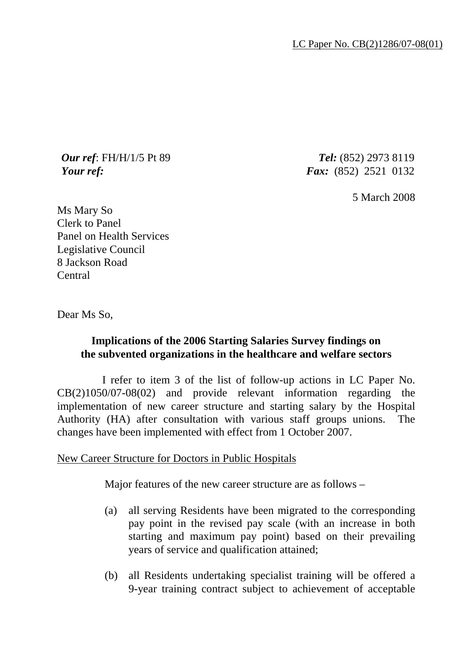*Our ref*: FH/H/1/5 Pt 89 *Tel:* (852) 2973 8119 *Your ref: Fax:* (852) 2521 0132

5 March 2008

Ms Mary So Clerk to Panel Panel on Health Services Legislative Council 8 Jackson Road Central

Dear Ms So,

## **Implications of the 2006 Starting Salaries Survey findings on the subvented organizations in the healthcare and welfare sectors**

 I refer to item 3 of the list of follow-up actions in LC Paper No. CB(2)1050/07-08(02) and provide relevant information regarding the implementation of new career structure and starting salary by the Hospital Authority (HA) after consultation with various staff groups unions. The changes have been implemented with effect from 1 October 2007.

New Career Structure for Doctors in Public Hospitals

Major features of the new career structure are as follows –

- (a) all serving Residents have been migrated to the corresponding pay point in the revised pay scale (with an increase in both starting and maximum pay point) based on their prevailing years of service and qualification attained;
- (b) all Residents undertaking specialist training will be offered a 9-year training contract subject to achievement of acceptable